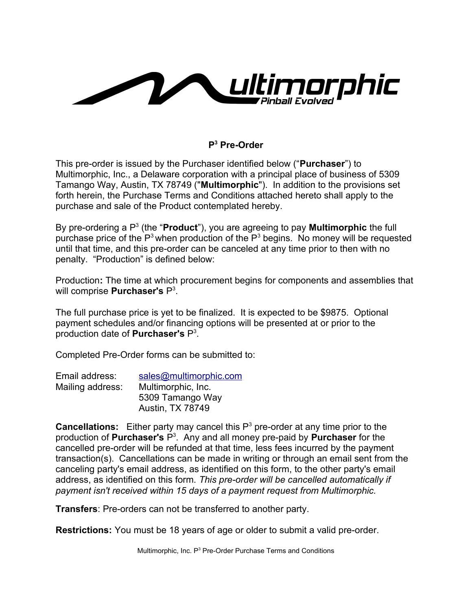

## **P 3 Pre-Order**

This pre-order is issued by the Purchaser identified below ("**Purchaser**") to Multimorphic, Inc., a Delaware corporation with a principal place of business of 5309 Tamango Way, Austin, TX 78749 ("**Multimorphic**"). In addition to the provisions set forth herein, the Purchase Terms and Conditions attached hereto shall apply to the purchase and sale of the Product contemplated hereby.

By pre-ordering a P<sup>3</sup> (the "**Product**"), you are agreeing to pay **Multimorphic** the full purchase price of the  $P<sup>3</sup>$  when production of the  $P<sup>3</sup>$  begins. No money will be requested until that time, and this pre-order can be canceled at any time prior to then with no penalty. "Production" is defined below:

Production**:** The time at which procurement begins for components and assemblies that will comprise **Purchaser's** P<sup>3</sup> .

The full purchase price is yet to be finalized. It is expected to be \$9875. Optional payment schedules and/or financing options will be presented at or prior to the production date of **Purchaser's** P<sup>3</sup> .

Completed Pre-Order forms can be submitted to:

| sales@multimorphic.com  |
|-------------------------|
| Multimorphic, Inc.      |
| 5309 Tamango Way        |
| <b>Austin, TX 78749</b> |
|                         |

**Cancellations:** Either party may cancel this  $P<sup>3</sup>$  pre-order at any time prior to the production of **Purchaser's** P<sup>3</sup> . Any and all money pre-paid by **Purchaser** for the cancelled pre-order will be refunded at that time, less fees incurred by the payment transaction(s). Cancellations can be made in writing or through an email sent from the canceling party's email address, as identified on this form, to the other party's email address, as identified on this form. *This pre-order will be cancelled automatically if payment isn't received within 15 days of a payment request from Multimorphic.*

**Transfers**: Pre-orders can not be transferred to another party.

**Restrictions:** You must be 18 years of age or older to submit a valid pre-order.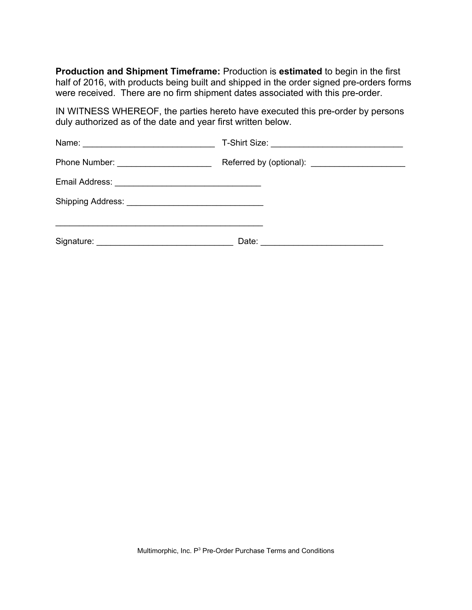**Production and Shipment Timeframe:** Production is **estimated** to begin in the first half of 2016, with products being built and shipped in the order signed pre-orders forms were received. There are no firm shipment dates associated with this pre-order.

IN WITNESS WHEREOF, the parties hereto have executed this pre-order by persons duly authorized as of the date and year first written below.

| Phone Number: _______________________ |  |
|---------------------------------------|--|
|                                       |  |
|                                       |  |
|                                       |  |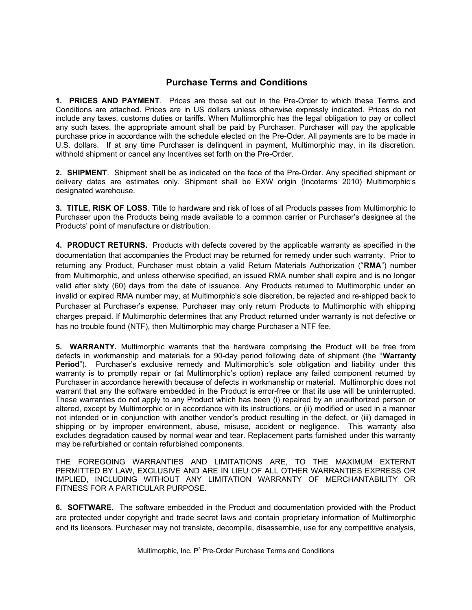## **Purchase Terms and Conditions**

**1. PRICES AND PAYMENT**. Prices are those set out in the Pre-Order to which these Terms and Conditions are attached. Prices are in US dollars unless otherwise expressly indicated. Prices do not include any taxes, customs duties or tariffs. When Multimorphic has the legal obligation to pay or collect any such taxes, the appropriate amount shall be paid by Purchaser. Purchaser will pay the applicable purchase price in accordance with the schedule elected on the Pre-Oder. All payments are to be made in U.S. dollars. If at any time Purchaser is delinquent in payment, Multimorphic may, in its discretion, withhold shipment or cancel any Incentives set forth on the Pre-Order.

**2. SHIPMENT**. Shipment shall be as indicated on the face of the Pre-Order. Any specified shipment or delivery dates are estimates only. Shipment shall be EXW origin (Incoterms 2010) Multimorphic's designated warehouse.

**3. TITLE, RISK OF LOSS**. Title to hardware and risk of loss of all Products passes from Multimorphic to Purchaser upon the Products being made available to a common carrier or Purchaser's designee at the Products' point of manufacture or distribution.

**4. PRODUCT RETURNS.** Products with defects covered by the applicable warranty as specified in the documentation that accompanies the Product may be returned for remedy under such warranty. Prior to returning any Product, Purchaser must obtain a valid Return Materials Authorization ("**RMA**") number from Multimorphic, and unless otherwise specified, an issued RMA number shall expire and is no longer valid after sixty (60) days from the date of issuance. Any Products returned to Multimorphic under an invalid or expired RMA number may, at Multimorphic's sole discretion, be rejected and re-shipped back to Purchaser at Purchaser's expense. Purchaser may only return Products to Multimorphic with shipping charges prepaid. If Multimorphic determines that any Product returned under warranty is not defective or has no trouble found (NTF), then Multimorphic may charge Purchaser a NTF fee.

**5. WARRANTY.** Multimorphic warrants that the hardware comprising the Product will be free from defects in workmanship and materials for a 90-day period following date of shipment (the "**Warranty Period**"). Purchaser's exclusive remedy and Multimorphic's sole obligation and liability under this warranty is to promptly repair or (at Multimorphic's option) replace any failed component returned by Purchaser in accordance herewith because of defects in workmanship or material. Multimorphic does not warrant that any the software embedded in the Product is error-free or that its use will be uninterrupted. These warranties do not apply to any Product which has been (i) repaired by an unauthorized person or altered, except by Multimorphic or in accordance with its instructions, or (ii) modified or used in a manner not intended or in conjunction with another vendor's product resulting in the defect, or (iii) damaged in shipping or by improper environment, abuse, misuse, accident or negligence. This warranty also excludes degradation caused by normal wear and tear. Replacement parts furnished under this warranty may be refurbished or contain refurbished components.

THE FOREGOING WARRANTIES AND LIMITATIONS ARE, TO THE MAXIMUM EXTERNT PERMITTED BY LAW, EXCLUSIVE AND ARE IN LIEU OF ALL OTHER WARRANTIES EXPRESS OR IMPLIED, INCLUDING WITHOUT ANY LIMITATION WARRANTY OF MERCHANTABILITY OR FITNESS FOR A PARTICULAR PURPOSE.

**6. SOFTWARE.** The software embedded in the Product and documentation provided with the Product are protected under copyright and trade secret laws and contain proprietary information of Multimorphic and its licensors. Purchaser may not translate, decompile, disassemble, use for any competitive analysis,